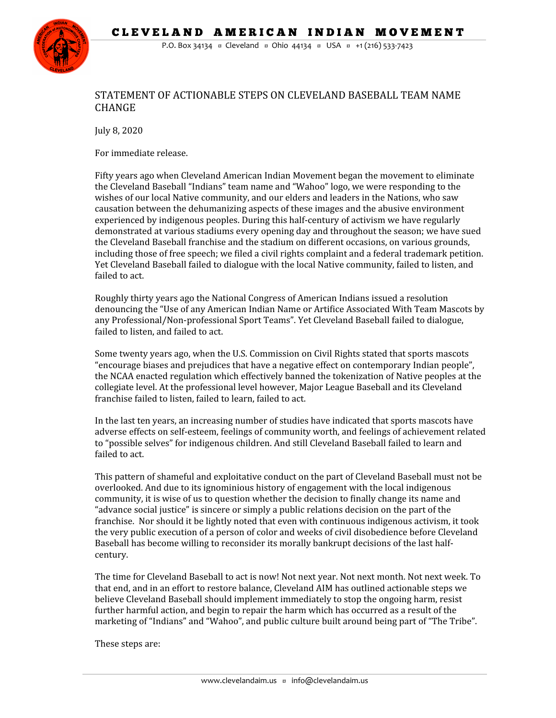CLEVELAND AMERICAN INDIAN MOVEMENT



P.O. Box 34134 ¤ Cleveland ¤ Ohio 44134 ¤ USA ¤ +1 (216) 533-7423

## STATEMENT OF ACTIONABLE STEPS ON CLEVELAND BASEBALL TEAM NAME CHANGE

July 8, 2020

For immediate release.

Fifty years ago when Cleveland American Indian Movement began the movement to eliminate the Cleveland Baseball "Indians" team name and "Wahoo" logo, we were responding to the wishes of our local Native community, and our elders and leaders in the Nations, who saw causation between the dehumanizing aspects of these images and the abusive environment experienced by indigenous peoples. During this half-century of activism we have regularly demonstrated at various stadiums every opening day and throughout the season; we have sued the Cleveland Baseball franchise and the stadium on different occasions, on various grounds, including those of free speech; we filed a civil rights complaint and a federal trademark petition. Yet Cleveland Baseball failed to dialogue with the local Native community, failed to listen, and failed to act.

Roughly thirty years ago the National Congress of American Indians issued a resolution denouncing the "Use of any American Indian Name or Artifice Associated With Team Mascots by any Professional/Non-professional Sport Teams". Yet Cleveland Baseball failed to dialogue, failed to listen, and failed to act.

Some twenty years ago, when the U.S. Commission on Civil Rights stated that sports mascots "encourage biases and prejudices that have a negative effect on contemporary Indian people", the NCAA enacted regulation which effectively banned the tokenization of Native peoples at the collegiate level. At the professional level however, Major League Baseball and its Cleveland franchise failed to listen, failed to learn, failed to act.

In the last ten years, an increasing number of studies have indicated that sports mascots have adverse effects on self-esteem, feelings of community worth, and feelings of achievement related to "possible selves" for indigenous children. And still Cleveland Baseball failed to learn and failed to act.

This pattern of shameful and exploitative conduct on the part of Cleveland Baseball must not be overlooked. And due to its ignominious history of engagement with the local indigenous community, it is wise of us to question whether the decision to finally change its name and "advance social justice" is sincere or simply a public relations decision on the part of the franchise. Nor should it be lightly noted that even with continuous indigenous activism, it took the very public execution of a person of color and weeks of civil disobedience before Cleveland Baseball has become willing to reconsider its morally bankrupt decisions of the last halfcentury.

The time for Cleveland Baseball to act is now! Not next year. Not next month. Not next week. To that end, and in an effort to restore balance, Cleveland AIM has outlined actionable steps we believe Cleveland Baseball should implement immediately to stop the ongoing harm, resist further harmful action, and begin to repair the harm which has occurred as a result of the marketing of "Indians" and "Wahoo", and public culture built around being part of "The Tribe".

These steps are: